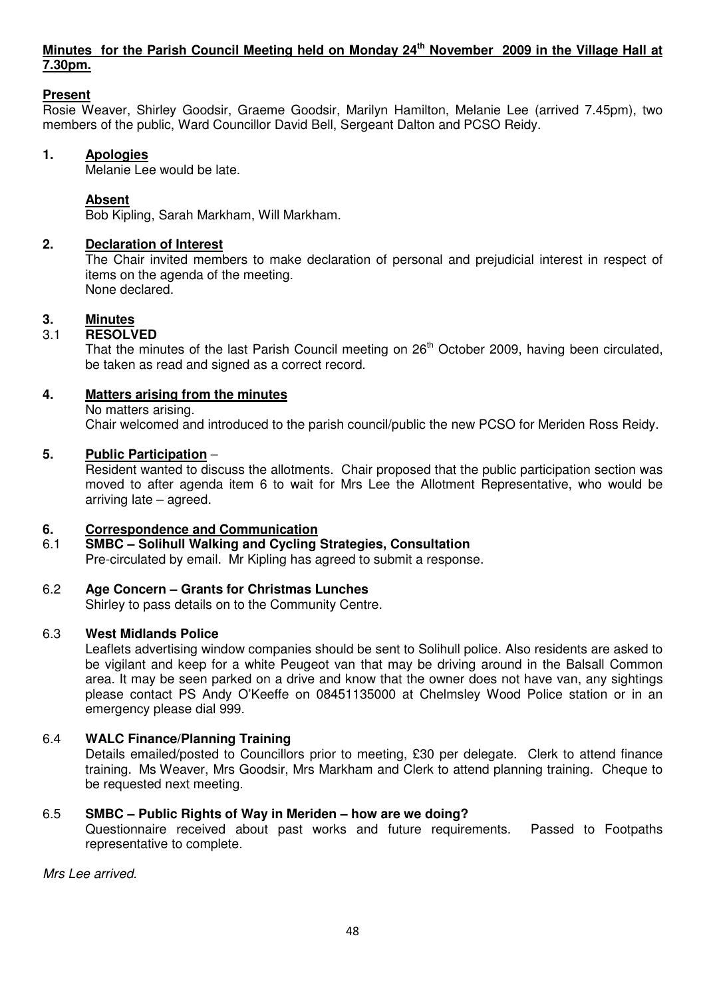# **Minutes for the Parish Council Meeting held on Monday 24th November 2009 in the Village Hall at 7.30pm.**

# **Present**

Rosie Weaver, Shirley Goodsir, Graeme Goodsir, Marilyn Hamilton, Melanie Lee (arrived 7.45pm), two members of the public, Ward Councillor David Bell, Sergeant Dalton and PCSO Reidy.

## **1. Apologies**

Melanie Lee would be late.

# **Absent**

Bob Kipling, Sarah Markham, Will Markham.

## **2. Declaration of Interest**

The Chair invited members to make declaration of personal and prejudicial interest in respect of items on the agenda of the meeting. None declared.

## **3. Minutes**

# 3.1 **RESOLVED**

That the minutes of the last Parish Council meeting on 26<sup>th</sup> October 2009, having been circulated, be taken as read and signed as a correct record.

# **4. Matters arising from the minutes**

No matters arising.

Chair welcomed and introduced to the parish council/public the new PCSO for Meriden Ross Reidy.

#### **5. Public Participation** –

 Resident wanted to discuss the allotments. Chair proposed that the public participation section was moved to after agenda item 6 to wait for Mrs Lee the Allotment Representative, who would be arriving late – agreed.

## **6. Correspondence and Communication**

6.1 **SMBC – Solihull Walking and Cycling Strategies, Consultation**  Pre-circulated by email. Mr Kipling has agreed to submit a response.

## 6.2 **Age Concern – Grants for Christmas Lunches**

Shirley to pass details on to the Community Centre.

## 6.3 **West Midlands Police**

Leaflets advertising window companies should be sent to Solihull police. Also residents are asked to be vigilant and keep for a white Peugeot van that may be driving around in the Balsall Common area. It may be seen parked on a drive and know that the owner does not have van, any sightings please contact PS Andy O'Keeffe on 08451135000 at Chelmsley Wood Police station or in an emergency please dial 999.

## 6.4 **WALC Finance/Planning Training**

 Details emailed/posted to Councillors prior to meeting, £30 per delegate. Clerk to attend finance training. Ms Weaver, Mrs Goodsir, Mrs Markham and Clerk to attend planning training. Cheque to be requested next meeting.

## 6.5 **SMBC – Public Rights of Way in Meriden – how are we doing?**

 Questionnaire received about past works and future requirements. Passed to Footpaths representative to complete.

Mrs Lee arrived.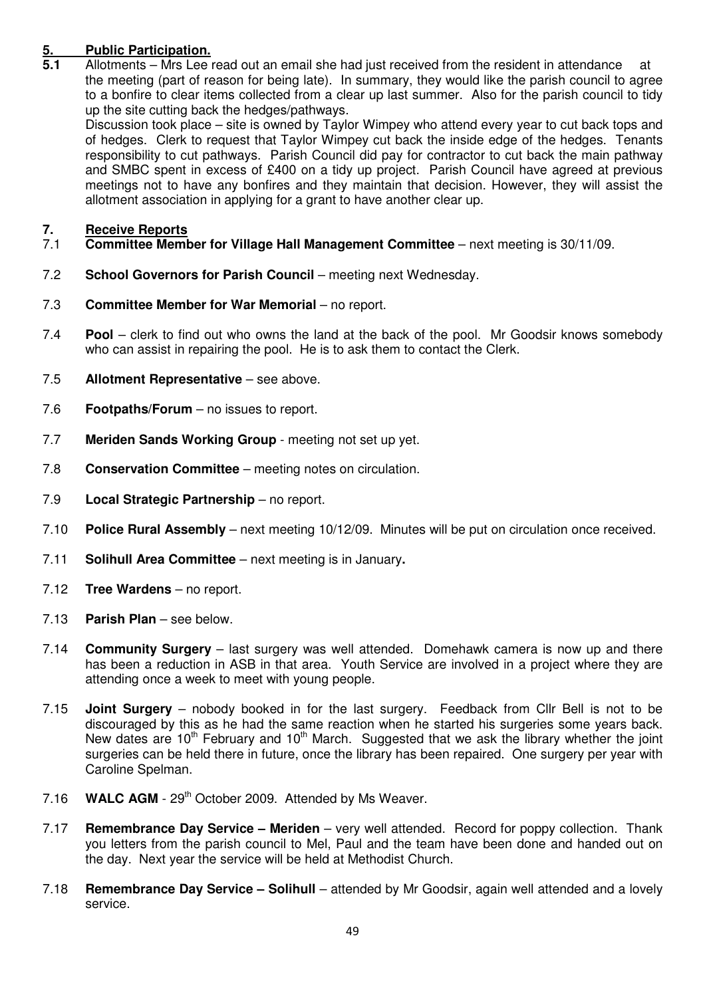# **5. Public Participation.**<br>**5.1** Allotments – Mrs Lee i

**5.1** Allotments – Mrs Lee read out an email she had just received from the resident in attendance at the meeting (part of reason for being late). In summary, they would like the parish council to agree to a bonfire to clear items collected from a clear up last summer. Also for the parish council to tidy up the site cutting back the hedges/pathways.

Discussion took place – site is owned by Taylor Wimpey who attend every year to cut back tops and of hedges. Clerk to request that Taylor Wimpey cut back the inside edge of the hedges. Tenants responsibility to cut pathways. Parish Council did pay for contractor to cut back the main pathway and SMBC spent in excess of £400 on a tidy up project. Parish Council have agreed at previous meetings not to have any bonfires and they maintain that decision. However, they will assist the allotment association in applying for a grant to have another clear up.

# **7.** Receive Reports<br> **7.1** Committee Memb

- 7.1 **Committee Member for Village Hall Management Committee**  next meeting is 30/11/09.
- 7.2 **School Governors for Parish Council** meeting next Wednesday.
- 7.3 **Committee Member for War Memorial** no report.
- 7.4 **Pool** clerk to find out who owns the land at the back of the pool. Mr Goodsir knows somebody who can assist in repairing the pool. He is to ask them to contact the Clerk.
- 7.5 **Allotment Representative** see above.
- 7.6 **Footpaths/Forum**  no issues to report.
- 7.7 **Meriden Sands Working Group** meeting not set up yet.
- 7.8 **Conservation Committee**  meeting notes on circulation.
- 7.9 **Local Strategic Partnership**  no report.
- 7.10 **Police Rural Assembly** next meeting 10/12/09. Minutes will be put on circulation once received.
- 7.11 **Solihull Area Committee**  next meeting is in January**.**
- 7.12 **Tree Wardens**  no report.
- 7.13 **Parish Plan**  see below.
- 7.14 **Community Surgery**  last surgery was well attended. Domehawk camera is now up and there has been a reduction in ASB in that area. Youth Service are involved in a project where they are attending once a week to meet with young people.
- 7.15 **Joint Surgery** nobody booked in for the last surgery. Feedback from Cllr Bell is not to be discouraged by this as he had the same reaction when he started his surgeries some years back. New dates are  $10<sup>th</sup>$  February and  $10<sup>th</sup>$  March. Suggested that we ask the library whether the joint surgeries can be held there in future, once the library has been repaired. One surgery per year with Caroline Spelman.
- 7.16 **WALC AGM** 29<sup>th</sup> October 2009. Attended by Ms Weaver.
- 7.17 **Remembrance Day Service Meriden**  very well attended. Record for poppy collection. Thank you letters from the parish council to Mel, Paul and the team have been done and handed out on the day. Next year the service will be held at Methodist Church.
- 7.18 **Remembrance Day Service Solihull**  attended by Mr Goodsir, again well attended and a lovely service.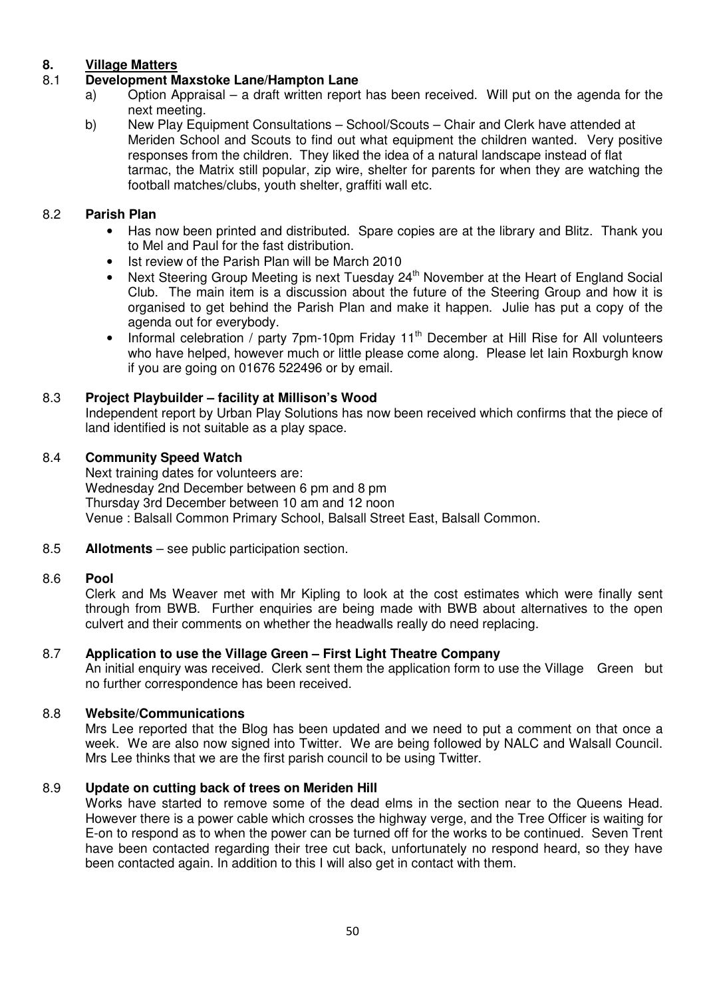# **8. Village Matters**

# 8.1 **Development Maxstoke Lane/Hampton Lane**

- a) Option Appraisal a draft written report has been received. Will put on the agenda for the next meeting.<br>b) New Play Equ
- b) New Play Equipment Consultations School/Scouts Chair and Clerk have attended at Meriden School and Scouts to find out what equipment the children wanted. Very positive responses from the children. They liked the idea of a natural landscape instead of flat tarmac, the Matrix still popular, zip wire, shelter for parents for when they are watching the football matches/clubs, youth shelter, graffiti wall etc.

# 8.2 **Parish Plan**

- Has now been printed and distributed. Spare copies are at the library and Blitz. Thank you to Mel and Paul for the fast distribution.
- Ist review of the Parish Plan will be March 2010
- Next Steering Group Meeting is next Tuesday 24<sup>th</sup> November at the Heart of England Social Club. The main item is a discussion about the future of the Steering Group and how it is organised to get behind the Parish Plan and make it happen. Julie has put a copy of the agenda out for everybody.
- Informal celebration / party 7pm-10pm Friday 11<sup>th</sup> December at Hill Rise for All volunteers who have helped, however much or little please come along. Please let Iain Roxburgh know if you are going on 01676 522496 or by email.

# 8.3 **Project Playbuilder – facility at Millison's Wood**

 Independent report by Urban Play Solutions has now been received which confirms that the piece of land identified is not suitable as a play space.

# 8.4 **Community Speed Watch**

Next training dates for volunteers are: Wednesday 2nd December between 6 pm and 8 pm Thursday 3rd December between 10 am and 12 noon Venue : Balsall Common Primary School, Balsall Street East, Balsall Common.

8.5 **Allotments** – see public participation section.

## 8.6 **Pool**

Clerk and Ms Weaver met with Mr Kipling to look at the cost estimates which were finally sent through from BWB. Further enquiries are being made with BWB about alternatives to the open culvert and their comments on whether the headwalls really do need replacing.

## 8.7 **Application to use the Village Green – First Light Theatre Company**

An initial enquiry was received. Clerk sent them the application form to use the Village Green but no further correspondence has been received.

## 8.8 **Website/Communications**

 Mrs Lee reported that the Blog has been updated and we need to put a comment on that once a week. We are also now signed into Twitter. We are being followed by NALC and Walsall Council. Mrs Lee thinks that we are the first parish council to be using Twitter.

## 8.9 **Update on cutting back of trees on Meriden Hill**

Works have started to remove some of the dead elms in the section near to the Queens Head. However there is a power cable which crosses the highway verge, and the Tree Officer is waiting for E-on to respond as to when the power can be turned off for the works to be continued. Seven Trent have been contacted regarding their tree cut back, unfortunately no respond heard, so they have been contacted again. In addition to this I will also get in contact with them.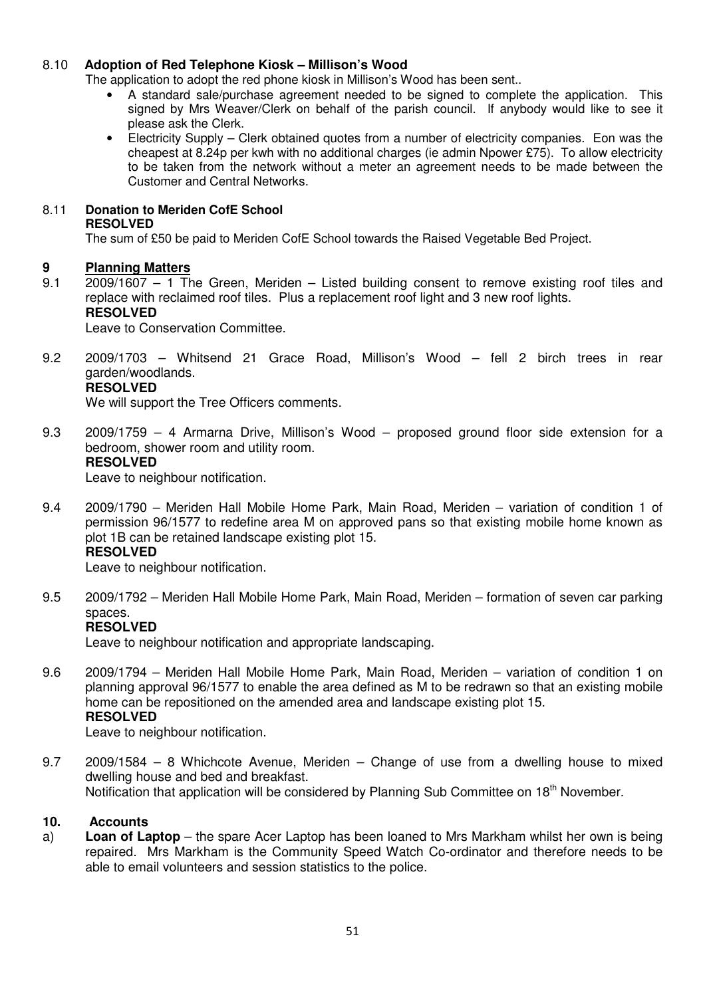# 8.10 **Adoption of Red Telephone Kiosk – Millison's Wood**

The application to adopt the red phone kiosk in Millison's Wood has been sent..

- A standard sale/purchase agreement needed to be signed to complete the application. This signed by Mrs Weaver/Clerk on behalf of the parish council. If anybody would like to see it please ask the Clerk.
- Electricity Supply Clerk obtained quotes from a number of electricity companies. Eon was the cheapest at 8.24p per kwh with no additional charges (ie admin Npower £75). To allow electricity to be taken from the network without a meter an agreement needs to be made between the Customer and Central Networks.

# 8.11 **Donation to Meriden CofE School**

#### **RESOLVED**

The sum of £50 be paid to Meriden CofE School towards the Raised Vegetable Bed Project.

# **9 Planning Matters**

9.1 2009/1607 – 1 The Green, Meriden – Listed building consent to remove existing roof tiles and replace with reclaimed roof tiles. Plus a replacement roof light and 3 new roof lights. **RESOLVED** 

Leave to Conservation Committee.

9.2 2009/1703 – Whitsend 21 Grace Road, Millison's Wood – fell 2 birch trees in rear garden/woodlands.

# **RESOLVED**

We will support the Tree Officers comments.

9.3 2009/1759 – 4 Armarna Drive, Millison's Wood – proposed ground floor side extension for a bedroom, shower room and utility room. **RESOLVED** 

Leave to neighbour notification.

9.4 2009/1790 – Meriden Hall Mobile Home Park, Main Road, Meriden – variation of condition 1 of permission 96/1577 to redefine area M on approved pans so that existing mobile home known as plot 1B can be retained landscape existing plot 15. **RESOLVED** 

Leave to neighbour notification.

9.5 2009/1792 – Meriden Hall Mobile Home Park, Main Road, Meriden – formation of seven car parking spaces.

# **RESOLVED**

Leave to neighbour notification and appropriate landscaping.

9.6 2009/1794 – Meriden Hall Mobile Home Park, Main Road, Meriden – variation of condition 1 on planning approval 96/1577 to enable the area defined as M to be redrawn so that an existing mobile home can be repositioned on the amended area and landscape existing plot 15. **RESOLVED** 

Leave to neighbour notification.

9.7 2009/1584 – 8 Whichcote Avenue, Meriden – Change of use from a dwelling house to mixed dwelling house and bed and breakfast. Notification that application will be considered by Planning Sub Committee on 18<sup>th</sup> November.

## **10. Accounts**

a) **Loan of Laptop** – the spare Acer Laptop has been loaned to Mrs Markham whilst her own is being repaired. Mrs Markham is the Community Speed Watch Co-ordinator and therefore needs to be able to email volunteers and session statistics to the police.